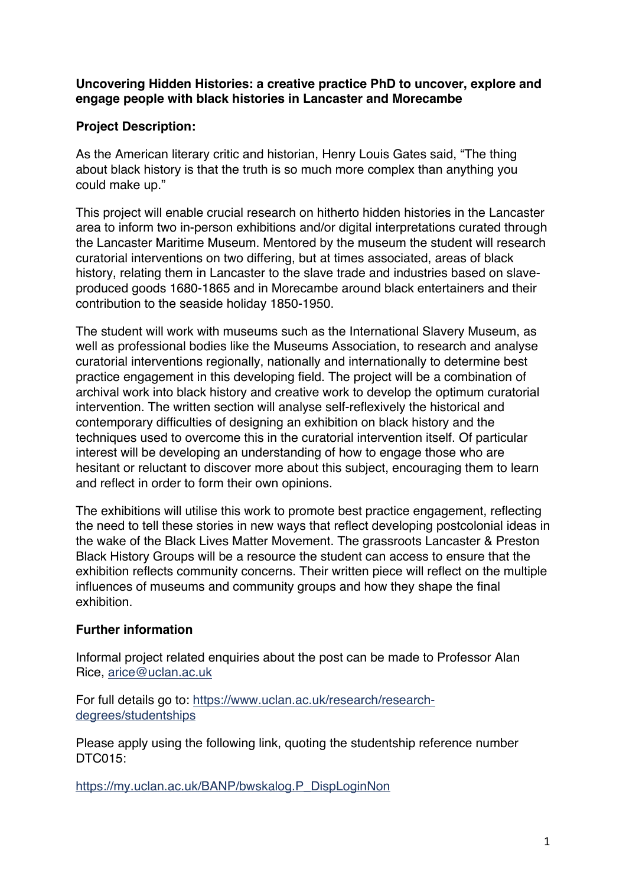**Uncovering Hidden Histories: a creative practice PhD to uncover, explore and engage people with black histories in Lancaster and Morecambe** 

## **Project Description:**

As the American literary critic and historian, Henry Louis Gates said, "The thing about black history is that the truth is so much more complex than anything you could make up."

This project will enable crucial research on hitherto hidden histories in the Lancaster area to inform two in-person exhibitions and/or digital interpretations curated through the Lancaster Maritime Museum. Mentored by the museum the student will research curatorial interventions on two differing, but at times associated, areas of black history, relating them in Lancaster to the slave trade and industries based on slaveproduced goods 1680-1865 and in Morecambe around black entertainers and their contribution to the seaside holiday 1850-1950.

The student will work with museums such as the International Slavery Museum, as well as professional bodies like the Museums Association, to research and analyse curatorial interventions regionally, nationally and internationally to determine best practice engagement in this developing field. The project will be a combination of archival work into black history and creative work to develop the optimum curatorial intervention. The written section will analyse self-reflexively the historical and contemporary difficulties of designing an exhibition on black history and the techniques used to overcome this in the curatorial intervention itself. Of particular interest will be developing an understanding of how to engage those who are hesitant or reluctant to discover more about this subject, encouraging them to learn and reflect in order to form their own opinions.

The exhibitions will utilise this work to promote best practice engagement, reflecting the need to tell these stories in new ways that reflect developing postcolonial ideas in the wake of the Black Lives Matter Movement. The grassroots Lancaster & Preston Black History Groups will be a resource the student can access to ensure that the exhibition reflects community concerns. Their written piece will reflect on the multiple influences of museums and community groups and how they shape the final exhibition.

## **Further information**

Informal project related enquiries about the post can be made to Professor Alan Rice, [arice@uclan.ac.uk](mailto:arice@uclan.ac.uk) 

[For full details go to: https://www.uclan.ac.uk/research/research](https://www.uclan.ac.uk/research/research-degrees/studentships)degrees/studentships

Please apply using the following link, quoting the studentship reference number DTC015:

https://my.uclan.ac.uk/BANP/bwskalog.P\_DispLoginNon